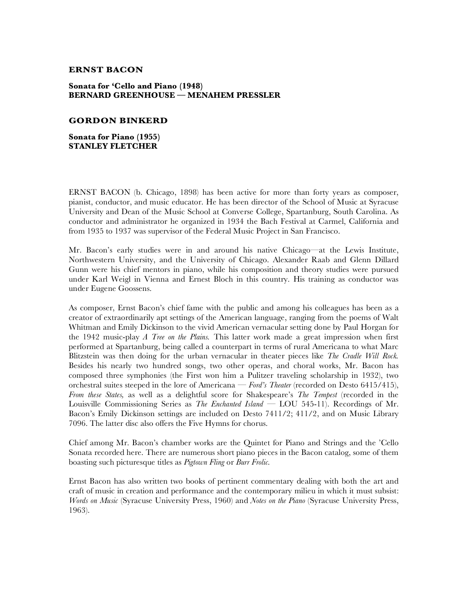## **ERNST BACON**

## **Sonata for 'Cello and Piano (1948) BERNARD GREENHOUSE — MENAHEM PRESSLER**

## **GORDON BINKERD**

**Sonata for Piano (1955) STANLEY FLETCHER**

ERNST BACON (b. Chicago, 1898) has been active for more than forty years as composer, pianist, conductor, and music educator. He has been director of the School of Music at Syracuse University and Dean of the Music School at Converse College, Spartanburg, South Carolina. As conductor and administrator he organized in 1934 the Bach Festival at Carmel, California and from 1935 to 1937 was supervisor of the Federal Music Project in San Francisco.

Mr. Bacon's early studies were in and around his native Chicago—at the Lewis Institute, Northwestern University, and the University of Chicago. Alexander Raab and Glenn Dillard Gunn were his chief mentors in piano, while his composition and theory studies were pursued under Karl Weigl in Vienna and Ernest Bloch in this country. His training as conductor was under Eugene Goossens.

As composer, Ernst Bacon's chief fame with the public and among his colleagues has been as a creator of extraordinarily apt settings of the American language, ranging from the poems of Walt Whitman and Emily Dickinson to the vivid American vernacular setting done by Paul Horgan for the 1942 music-play *A Tree on the Plains.* This latter work made a great impression when first performed at Spartanburg, being called a counterpart in terms of rural Americana to what Marc Blitzstein was then doing for the urban vernacular in theater pieces like *The Cradle Will Rock.*  Besides his nearly two hundred songs, two other operas, and choral works, Mr. Bacon has composed three symphonies (the First won him a Pulitzer traveling scholarship in 1932), two orchestral suites steeped in the lore of Americana — *Ford's Theater* (recorded on Desto 6415/415), *From these States,* as well as a delightful score for Shakespeare's *The Tempest* (recorded in the Louisville Commissioning Series as *The Enchanted Island* — LOU 545-11). Recordings of Mr. Bacon's Emily Dickinson settings are included on Desto 7411/2; 411/2, and on Music Library 7096. The latter disc also offers the Five Hymns for chorus.

Chief among Mr. Bacon's chamber works are the Quintet for Piano and Strings and the 'Cello Sonata recorded here. There are numerous short piano pieces in the Bacon catalog, some of them boasting such picturesque titles as *Pigtown Fling* or *Burr Frolic.*

Ernst Bacon has also written two books of pertinent commentary dealing with both the art and craft of music in creation and performance and the contemporary milieu in which it must subsist: *Words on Music* (Syracuse University Press, 1960) and *Notes on the Piano* (Syracuse University Press, 1963).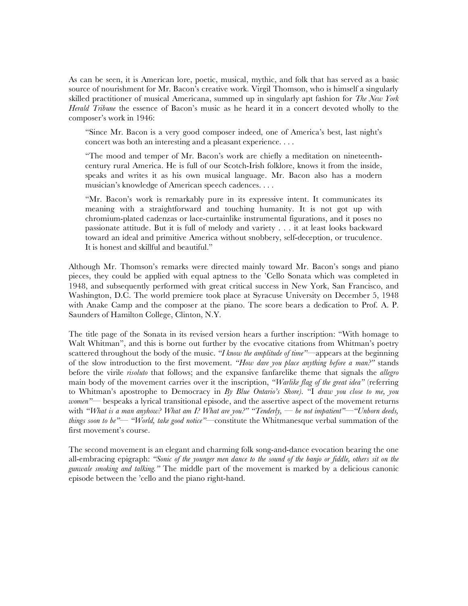As can be seen, it is American lore, poetic, musical, mythic, and folk that has served as a basic source of nourishment for Mr. Bacon's creative work. Virgil Thomson, who is himself a singularly skilled practitioner of musical Americana, summed up in singularly apt fashion for *The New York Herald Tribune* the essence of Bacon's music as he heard it in a concert devoted wholly to the composer's work in 1946:

"Since Mr. Bacon is a very good composer indeed, one of America's best, last night's concert was both an interesting and a pleasant experience. . . .

"The mood and temper of Mr. Bacon's work are chiefly a meditation on nineteenthcentury rural America. He is full of our Scotch-Irish folklore, knows it from the inside, speaks and writes it as his own musical language. Mr. Bacon also has a modern musician's knowledge of American speech cadences. . . .

"Mr. Bacon's work is remarkably pure in its expressive intent. It communicates its meaning with a straightforward and touching humanity. It is not got up with chromium-plated cadenzas or lace-curtainlike instrumental figurations, and it poses no passionate attitude. But it is full of melody and variety . . . it at least looks backward toward an ideal and primitive America without snobbery, self-deception, or truculence. It is honest and skillful and beautiful."

Although Mr. Thomson's remarks were directed mainly toward Mr. Bacon's songs and piano pieces, they could be applied with equal aptness to the 'Cello Sonata which was completed in 1948, and subsequently performed with great critical success in New York, San Francisco, and Washington, D.C. The world premiere took place at Syracuse University on December 5, 1948 with Anake Camp and the composer at the piano. The score bears a dedication to Prof. A. P. Saunders of Hamilton College, Clinton, N.Y.

The title page of the Sonata in its revised version hears a further inscription: "With homage to Walt Whitman", and this is borne out further by the evocative citations from Whitman's poetry scattered throughout the body of the music. *"I know the amplitude of time"—*appears at the beginning of the slow introduction to the first movement. *"How dare you place anything before a man?"* stands before the virile *risoluto* that follows; and the expansive fanfarelike theme that signals the *allegro*  main body of the movement carries over it the inscription, *"Warlike flag of the great idea"* (referring to Whitman's apostrophe to Democracy in *By Blue Ontario's Shore).* "I *draw you close to me, you women"—* bespeaks a lyrical transitional episode, and the assertive aspect of the movement returns with *"What is a man anyhow? What am I? What are you?" "Tenderly, — be not impatient"—"Unborn deeds, things soon to be"— "World, take good notice"—*constitute the Whitmanesque verbal summation of the first movement's course.

The second movement is an elegant and charming folk song-and-dance evocation bearing the one all-embracing epigraph: *"Sonic of the younger men dance to the sound of the banjo or fiddle, others sit on the gunwale smoking and talking."* The middle part of the movement is marked by a delicious canonic episode between the 'cello and the piano right-hand.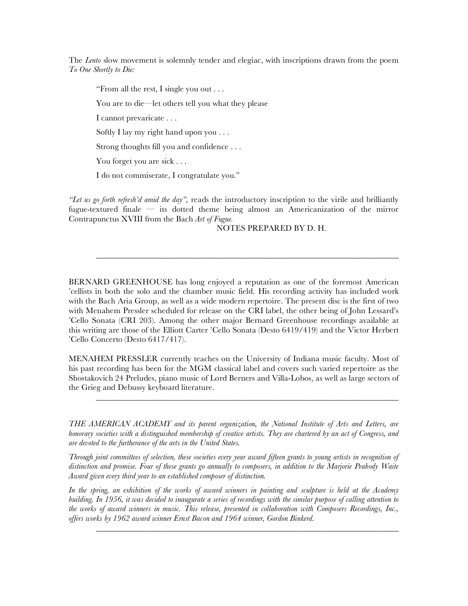The *Lento* slow movement is solemnly tender and elegiac, with inscriptions drawn from the poem *To One Shortly to Die:*

"From all the rest, I single you out . . .

You are to die—let others tell you what they please

I cannot prevaricate . . .

Softly I lay my right hand upon you . . .

Strong thoughts fill you and confidence . . .

You forget you are sick . . .

I do not commiserate, I congratulate you."

*"Let us go forth refresh'd amid the day",* reads the introductory inscription to the virile and brilliantly fugue-textured finale — its dotted theme being almost an Americanization of the mirror Contrapunctus XVIII from the Bach *Art of Fugue.*

\_\_\_\_\_\_\_\_\_\_\_\_\_\_\_\_\_\_\_\_\_\_\_\_\_\_\_\_\_\_\_\_\_\_\_\_\_\_\_\_\_\_\_\_\_\_\_\_\_\_\_\_\_\_\_\_\_\_\_\_\_\_\_\_\_\_\_\_\_\_\_\_

NOTES PREPARED BY D. H.

BERNARD GREENHOUSE has long enjoyed a reputation as one of the foremost American 'cellists in both the solo and the chamber music field. His recording activity has included work with the Bach Aria Group, as well as a wide modern repertoire. The present disc is the first of two with Menahem Pressler scheduled for release on the CRI label, the other being of John Lessard's 'Cello Sonata (CRI 203). Among the other major Bernard Greenhouse recordings available at this writing are those of the Elliott Carter 'Cello Sonata (Desto 6419/419) and the Victor Herbert 'Cello Concerto (Desto 6417/417).

MENAHEM PRESSLER currently teaches on the University of Indiana music faculty. Most of his past recording has been for the MGM classical label and covers such varied repertoire as the Shostakovich 24 Preludes, piano music of Lord Berners and Villa-Lobos, as well as large sectors of the Grieg and Debussy keyboard literature.

\_\_\_\_\_\_\_\_\_\_\_\_\_\_\_\_\_\_\_\_\_\_\_\_\_\_\_\_\_\_\_\_\_\_\_\_\_\_\_\_\_\_\_\_\_\_\_\_\_\_\_\_\_\_\_\_\_\_\_\_\_\_\_\_\_\_\_\_\_\_\_\_

*THE AMERICAN ACADEMY and its parent organization, the National Institute of Arts and Letters, are honorary societies with a distinguished membership of creative artists. They are chartered by an act of Congress, and are devoted to the furtherance of the arts in the United States.*

*Through joint committees of selection, these societies every year award fifteen grants to young artists in recognition of distinction and promise. Four of these grants go annually to composers, in addition to the Marjorie Peabody Waite Award given every third year to an established composer of distinction.*

*In the spring, an exhibition of the works of award winners in painting and sculpture is held at the Academy building. In 1956, it was decided to inaugurate a series of recordings with the similar purpose of calling attention to the works of award winners in music. This release, presented in collaboration with Composers Recordings, Inc., offers works by 1962 award winner Ernst Bacon and 1964 winner, Gordon Binkerd.*

\_\_\_\_\_\_\_\_\_\_\_\_\_\_\_\_\_\_\_\_\_\_\_\_\_\_\_\_\_\_\_\_\_\_\_\_\_\_\_\_\_\_\_\_\_\_\_\_\_\_\_\_\_\_\_\_\_\_\_\_\_\_\_\_\_\_\_\_\_\_\_\_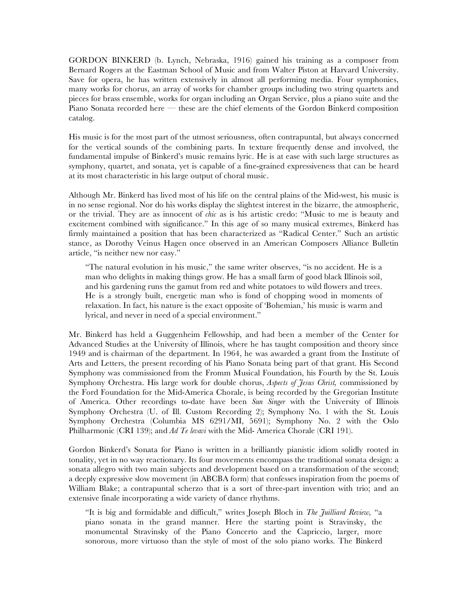GORDON BINKERD (b. Lynch, Nebraska, 1916) gained his training as a composer from Bernard Rogers at the Eastman School of Music and from Walter Piston at Harvard University. Save for opera, he has written extensively in almost all performing media. Four symphonies, many works for chorus, an array of works for chamber groups including two string quartets and pieces for brass ensemble, works for organ including an Organ Service, plus a piano suite and the Piano Sonata recorded here — these are the chief elements of the Gordon Binkerd composition catalog.

His music is for the most part of the utmost seriousness, often contrapuntal, but always concerned for the vertical sounds of the combining parts. In texture frequently dense and involved, the fundamental impulse of Binkerd's music remains lyric. He is at ease with such large structures as symphony, quartet, and sonata, yet is capable of a fine-grained expressiveness that can be heard at its most characteristic in his large output of choral music.

Although Mr. Binkerd has lived most of his life on the central plains of the Mid-west, his music is in no sense regional. Nor do his works display the slightest interest in the bizarre, the atmospheric, or the trivial. They are as innocent of *chic* as is his artistic credo: "Music to me is beauty and excitement combined with significance." In this age of so many musical extremes, Binkerd has firmly maintained a position that has been characterized as "Radical Center." Such an artistic stance, as Dorothy Veinus Hagen once observed in an American Composers Alliance Bulletin article, "is neither new nor easy."

"The natural evolution in his music," the same writer observes, "is no accident. He is a man who delights in making things grow. He has a small farm of good black Illinois soil, and his gardening runs the gamut from red and white potatoes to wild flowers and trees. He is a strongly built, energetic man who is fond of chopping wood in moments of relaxation. In fact, his nature is the exact opposite of 'Bohemian,' his music is warm and lyrical, and never in need of a special environment."

Mr. Binkerd has held a Guggenheim Fellowship, and had been a member of the Center for Advanced Studies at the University of Illinois, where he has taught composition and theory since 1949 and is chairman of the department. In 1964, he was awarded a grant from the Institute of Arts and Letters, the present recording of his Piano Sonata being part of that grant. His Second Symphony was commissioned from the Fromm Musical Foundation, his Fourth by the St. Louis Symphony Orchestra. His large work for double chorus, *Aspects of Jesus Christ,* commissioned by the Ford Foundation for the Mid-America Chorale, is being recorded by the Gregorian Institute of America. Other recordings to-date have been *Sun Singer* with the University of Illinois Symphony Orchestra (U. of Ill. Custom Recording 2); Symphony No. 1 with the St. Louis Symphony Orchestra (Columbia MS 6291/MI, 5691); Symphony No. 2 with the Oslo Philharmonic (CRI 139); and *Ad Te levavi* with the Mid- America Chorale (CRI 191).

Gordon Binkerd's Sonata for Piano is written in a brilliantly pianistic idiom solidly rooted in tonality, yet in no way reactionary. Its four movements encompass the traditional sonata design: a sonata allegro with two main subjects and development based on a transformation of the second; a deeply expressive slow movement (in ABCBA form) that confesses inspiration from the poems of William Blake; a contrapuntal scherzo that is a sort of three-part invention with trio; and an extensive finale incorporating a wide variety of dance rhythms.

"It is big and formidable and difficult," writes Joseph Bloch in *The Juilliard Review,* "a piano sonata in the grand manner. Here the starting point is Stravinsky, the monumental Stravinsky of the Piano Concerto and the Capriccio, larger, more sonorous, more virtuoso than the style of most of the solo piano works. The Binkerd